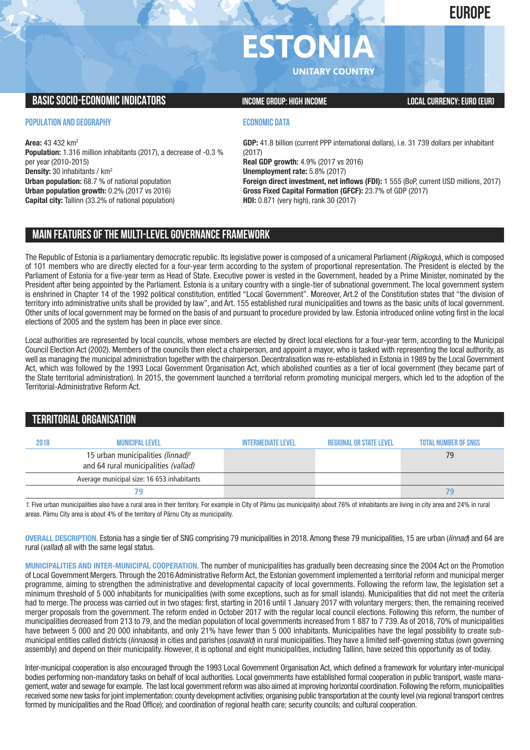## **EUROPE**

# **ESTON**

**UNITARY COUNTRY**

## **BASIC SOCIO-ECONOMIC INDICATORS INCOME GROUP:** HIGH INCOME GROUP: HIGH INCOME

### **POPULATION AND GEOGRAPHY**

**Area:** 43 432 km2 **Population:** 1.316 million inhabitants (2017), a decrease of -0.3 % per year (2010-2015) **Density:** 30 inhabitants / km2 **Urban population:** 68.7 % of national population **Urban population growth:** 0.2% (2017 vs 2016) **Capital city:** Tallinn (33.2% of national population)

## **ECONOMIC DATA**

**GDP:** 41.8 billion (current PPP international dollars), i.e. 31 739 dollars per inhabitant (2017) **Real GDP growth:** 4.9% (2017 vs 2016) **Unemployment rate:** 5.8% (2017) **Foreign direct investment, net inflows (FDI):** 1 555 (BoP, current USD millions, 2017) **Gross Fixed Capital Formation (GFCF):** 23.7% of GDP (2017) **HDI:** 0.871 (very high), rank 30 (2017)

## **MAIN FEATURESOFTHE MULTI-LEVELGOVERNANCEFRAMEWORK**

The Republic of Estonia is a parliamentary democratic republic. Its legislative power is composed of a unicameral Parliament (*Riigikogu*), which is composed of 101 members who are directly elected for a four-year term according to the system of proportional representation. The President is elected by the Parliament of Estonia for a five-year term as Head of State. Executive power is vested in the Government, headed by a Prime Minister, nominated by the President after being appointed by the Parliament. Estonia is a unitary country with a single-tier of subnational government. The local government system is enshrined in Chapter 14 of the 1992 political constitution, entitled "Local Government". Moreover, Art.2 of the Constitution states that "the division of territory into administrative units shall be provided by law", and Art. 155 established rural municipalities and towns as the basic units of local government. Other units of local government may be formed on the basis of and pursuant to procedure provided by law. Estonia introduced online voting first in the local elections of 2005 and the system has been in place ever since.

Local authorities are represented by local councils, whose members are elected by direct local elections for a four-vear term, according to the Municipal Council Election Act (2002). Members of the councils then elect a chairperson, and appoint a mayor, who is tasked with representing the local authority, as well as managing the municipal administration together with the chairperson. Decentralisation was re-established in Estonia in 1989 by the Local Government Act, which was followed by the 1993 Local Government Organisation Act, which abolished counties as a tier of local government (they became part of the State territorial administration). In 2015, the government launched a territorial reform promoting municipal mergers, which led to the adoption of the Territorial-Administrative Reform Act.

## **TERRITORIALORGANISATION**

| 2018 | MUNICIPAL LEVEL                                                                       | INTFRMFDIATF I FVFI | REGIONAL OR STATE LEVEL | <b>TOTAL NUMBER OF SNGS</b> |
|------|---------------------------------------------------------------------------------------|---------------------|-------------------------|-----------------------------|
|      | 15 urban municipalities (linnad) <sup>1</sup><br>and 64 rural municipalities (vallad) |                     |                         | 79                          |
|      | Average municipal size: 16 653 inhabitants                                            |                     |                         |                             |
|      |                                                                                       |                     |                         |                             |

*1*. Five urban municipalities also have a rural area in their territory. For example in City of Pärnu (as municipality) about 76% of inhabitants are living in city area and 24% in rural areas. Pärnu City area is about 4% of the territory of Pärnu City as municipality.

**OVERALL DESCRIPTION.** Estonia has a single tier of SNG comprising 79 municipalities in 2018. Among these 79 municipalities, 15 are urban (*linnad*) and 64 are rural (*vallad*) all with the same legal status.

**MUNICIPALITIES AND INTER-MUNICIPAL COOPERATION.** The number of municipalities has gradually been decreasing since the 2004 Act on the Promotion of Local Government Mergers. Through the 2016 Administrative Reform Act, the Estonian government implemented a territorial reform and municipal merger programme, aiming to strengthen the administrative and developmental capacity of local governments. Following the reform law, the legislation set a minimum threshold of 5 000 inhabitants for municipalities (with some exceptions, such as for small islands). Municipalities that did not meet the criteria had to merge. The process was carried out in two stages: first, starting in 2016 until 1 January 2017 with voluntary mergers; then, the remaining received merger proposals from the government. The reform ended in October 2017 with the regular local council elections. Following this reform, the number of municipalities decreased from 213 to 79, and the median population of local governments increased from 1 887 to 7 739. As of 2018, 70% of municipalities have between 5 000 and 20 000 inhabitants, and only 21% have fewer than 5 000 inhabitants. Municipalities have the legal possibility to create submunicipal entities called districts (*linnaosa*) in cities and parishes (*osavald*) in rural municipalities. They have a limited self-governing status (own governing assembly) and depend on their municipality. However, it is optional and eight municipalities, including Tallinn, have seized this opportunity as of today.

Inter-municipal cooperation is also encouraged through the 1993 Local Government Organisation Act, which defined a framework for voluntary inter-municipal bodies performing non-mandatory tasks on behalf of local authorities. Local governments have established formal cooperation in public transport, waste management, water and sewage for example. The last local government reform was also aimed at improving horizontal coordination. Following the reform, municipalities received some new tasks for joint implementation: county development activities; organising public transportation at the county level (via regional transport centres formed by municipalities and the Road Office); and coordination of regional health care; security councils; and cultural cooperation.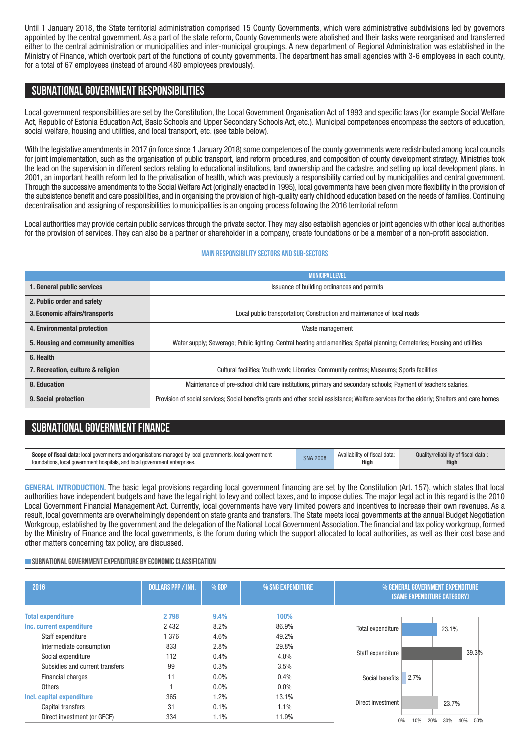Until 1 January 2018, the State territorial administration comprised 15 County Governments, which were administrative subdivisions led by governors appointed by the central government. As a part of the state reform, County Governments were abolished and their tasks were reorganised and transferred either to the central administration or municipalities and inter-municipal groupings. A new department of Regional Administration was established in the Ministry of Finance, which overtook part of the functions of county governments. The department has small agencies with 3-6 employees in each county, for a total of 67 employees (instead of around 480 employees previously).

## **SUBNATIONALGOVERNMENT RESPONSIBILITIES**

Local government responsibilities are set by the Constitution, the Local Government Organisation Act of 1993 and specific laws (for example Social Welfare Act, Republic of Estonia Education Act, Basic Schools and Upper Secondary Schools Act, etc.). Municipal competences encompass the sectors of education, social welfare, housing and utilities, and local transport, etc. (see table below).

With the legislative amendments in 2017 (in force since 1 January 2018) some competences of the county governments were redistributed among local councils for joint implementation, such as the organisation of public transport, land reform procedures, and composition of county development strategy. Ministries took the lead on the supervision in different sectors relating to educational institutions, land ownership and the cadastre, and setting up local development plans. In 2001, an important health reform led to the privatisation of health, which was previously a responsibility carried out by municipalities and central government. Through the successive amendments to the Social Welfare Act (originally enacted in 1995), local governments have been given more flexibility in the provision of the subsistence benefit and care possibilities, and in organising the provision of high-quality early childhood education based on the needs of families. Continuing decentralisation and assigning of responsibilities to municipalities is an ongoing process following the 2016 territorial reform

Local authorities may provide certain public services through the private sector. They may also establish agencies or joint agencies with other local authorities for the provision of services. They can also be a partner or shareholder in a company, create foundations or be a member of a non-profit association.

#### **Main responsibilitysectors and sub-sectors**

|                                    | <b>MUNICIPAL LEVEL</b>                                                                                                                      |  |  |  |  |  |
|------------------------------------|---------------------------------------------------------------------------------------------------------------------------------------------|--|--|--|--|--|
| 1. General public services         | Issuance of building ordinances and permits                                                                                                 |  |  |  |  |  |
| 2. Public order and safety         |                                                                                                                                             |  |  |  |  |  |
| 3. Economic affairs/transports     | Local public transportation; Construction and maintenance of local roads                                                                    |  |  |  |  |  |
| 4. Environmental protection        | Waste management                                                                                                                            |  |  |  |  |  |
| 5. Housing and community amenities | Water supply; Sewerage; Public lighting; Central heating and amenities; Spatial planning; Cemeteries; Housing and utilities                 |  |  |  |  |  |
| 6. Health                          |                                                                                                                                             |  |  |  |  |  |
| 7. Recreation, culture & religion  | Cultural facilities; Youth work; Libraries; Community centres; Museums; Sports facilities                                                   |  |  |  |  |  |
| 8. Education                       | Maintenance of pre-school child care institutions, primary and secondary schools; Payment of teachers salaries.                             |  |  |  |  |  |
| 9. Social protection               | Provision of social services; Social benefits grants and other social assistance; Welfare services for the elderly; Shelters and care homes |  |  |  |  |  |

## **SUBNATIONAL GOVERNMENT FINANCE**

| <b>Scope of fiscal data:</b> local governments and organisations managed by local governments, local government | <b>SNA 2008</b> | Availability of fiscal data: | Quality/reliability of fiscal data: |
|-----------------------------------------------------------------------------------------------------------------|-----------------|------------------------------|-------------------------------------|
| foundations. local government hospitals, and local government enterprises.                                      |                 | High                         | <b>High</b>                         |

**GENERAL INTRODUCTION.** The basic legal provisions regarding local government financing are set by the Constitution (Art. 157), which states that local authorities have independent budgets and have the legal right to levy and collect taxes, and to impose duties. The major legal act in this regard is the 2010 Local Government Financial Management Act. Currently, local governments have very limited powers and incentives to increase their own revenues. As a result, local governments are overwhelmingly dependent on state grants and transfers. The State meets local governments at the annual Budget Negotiation Workgroup, established by the government and the delegation of the National Local Government Association. The financial and tax policy workgroup, formed by the Ministry of Finance and the local governments, is the forum during which the support allocated to local authorities, as well as their cost base and other matters concerning tax policy, are discussed.

#### **SUBNATIONAL GOVERNMENT EXPENDITURE BY ECONOMIC CLASSIFICATION**

| 2016                            | <b>DOLLARS PPP / INH.</b> | % GDP | % SNG EXPENDITURE | % GENERAL GOVERNMENT EXPENDITURE<br>(SAME EXPENDITURE CATEGORY) |
|---------------------------------|---------------------------|-------|-------------------|-----------------------------------------------------------------|
| <b>Total expenditure</b>        | 2 7 9 8                   | 9.4%  | 100%              |                                                                 |
| Inc. current expenditure        | 2 4 3 2                   | 8.2%  | 86.9%             | Total expenditure<br>23.1%                                      |
| Staff expenditure               | 376                       | 4.6%  | 49.2%             |                                                                 |
| Intermediate consumption        | 833                       | 2.8%  | 29.8%             |                                                                 |
| Social expenditure              | 112                       | 0.4%  | 4.0%              | 39.3%<br>Staff expenditure                                      |
| Subsidies and current transfers | 99                        | 0.3%  | 3.5%              |                                                                 |
| Financial charges               | 11                        | 0.0%  | 0.4%              | 2.7%<br>Social benefits                                         |
| <b>Others</b>                   |                           | 0.0%  | $0.0\%$           |                                                                 |
| Incl. capital expenditure       | 365                       | 1.2%  | 13.1%             |                                                                 |
| Capital transfers               | 31                        | 0.1%  | 1.1%              | Direct investment<br>23.7%                                      |
| Direct investment (or GFCF)     | 334                       | 1.1%  | 11.9%             | 40%<br>50%<br>10%<br>20%<br>30%<br>0%                           |
|                                 |                           |       |                   |                                                                 |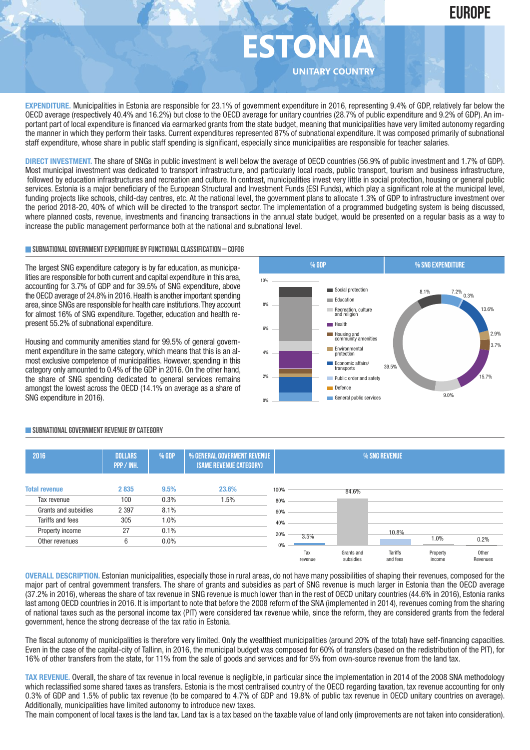

**EXPENDITURE.** Municipalities in Estonia are responsible for 23.1% of government expenditure in 2016, representing 9.4% of GDP, relatively far below the OECD average (respectively 40.4% and 16.2%) but close to the OECD average for unitary countries (28.7% of public expenditure and 9.2% of GDP). An important part of local expenditure is financed via earmarked grants from the state budget, meaning that municipalities have very limited autonomy regarding the manner in which they perform their tasks. Current expenditures represented 87% of subnational expenditure. It was composed primarily of subnational staff expenditure, whose share in public staff spending is significant, especially since municipalities are responsible for teacher salaries.

**DIRECT INVESTMENT.** The share of SNGs in public investment is well below the average of OECD countries (56.9% of public investment and 1.7% of GDP). Most municipal investment was dedicated to transport infrastructure, and particularly local roads, public transport, tourism and business infrastructure, followed by education infrastructures and recreation and culture. In contrast, municipalities invest very little in social protection, housing or general public services. Estonia is a major beneficiary of the European Structural and Investment Funds (ESI Funds), which play a significant role at the municipal level, funding projects like schools, child-day centres, etc. At the national level, the government plans to allocate 1.3% of GDP to infrastructure investment over the period 2018-20, 40% of which will be directed to the transport sector. The implementation of a programmed budgeting system is being discussed, where planned costs, revenue, investments and financing transactions in the annual state budget, would be presented on a regular basis as a way to increase the public management performance both at the national and subnational level.

#### **SUBNATIONALGOVERNMENTEXPENDITURE BYFUNCTIONALCLASSIFICATION – COFOG**

The largest SNG expenditure category is by far education, as municipalities are responsible for both current and capital expenditure in this area, accounting for 3.7% of GDP and for 39.5% of SNG expenditure, above the OECD average of 24.8% in 2016. Health is another important spending area, since SNGs are responsible for health care institutions.They account for almost 16% of SNG expenditure. Together, education and health represent 55.2% of subnational expenditure.

Housing and community amenities stand for 99.5% of general government expenditure in the same category, which means that this is an almost exclusive competence of municipalities. However, spending in this category only amounted to 0.4% of the GDP in 2016. On the other hand, the share of SNG spending dedicated to general services remains amongst the lowest across the OECD (14.1% on average as a share of SNG expenditure in 2016).



#### **SUBNATIONALGOVERNMENT REVENUE BYCATEGORY**

| 2016                 | <b>DOLLARS</b><br>PPP / INH. | $%$ GDP | % GENERAL GOVERMENT REVENUE<br>(SAME REVENUE CATEGORY) |      |                |                         | % SNG REVENUE              |                    |                   |
|----------------------|------------------------------|---------|--------------------------------------------------------|------|----------------|-------------------------|----------------------------|--------------------|-------------------|
| <b>Total revenue</b> | 2835                         | 9.5%    | 23.6%                                                  | 100% |                | 84.6%                   |                            |                    |                   |
| Tax revenue          | 100                          | 0.3%    | 1.5%                                                   | 80%  |                |                         |                            |                    |                   |
| Grants and subsidies | 2 3 9 7                      | 8.1%    |                                                        | 60%  |                |                         |                            |                    |                   |
| Tariffs and fees     | 305                          | 1.0%    |                                                        | 40%  |                |                         |                            |                    |                   |
| Property income      | 27                           | 0.1%    |                                                        | 20%  |                |                         | 10.8%                      |                    |                   |
| Other revenues       | 6                            | $0.0\%$ |                                                        | 0%   | 3.5%           |                         |                            | 1.0%               | 0.2%              |
|                      |                              |         |                                                        |      | Tax<br>revenue | Grants and<br>subsidies | <b>Tariffs</b><br>and fees | Property<br>income | Other<br>Revenues |

**OVERALL DESCRIPTION.** Estonian municipalities, especially those in rural areas, do not have many possibilities of shaping their revenues, composed for the major part of central government transfers. The share of grants and subsidies as part of SNG revenue is much larger in Estonia than the OECD average (37.2% in 2016), whereas the share of tax revenue in SNG revenue is much lower than in the rest of OECD unitary countries (44.6% in 2016), Estonia ranks last among OECD countries in 2016. It is important to note that before the 2008 reform of the SNA (implemented in 2014), revenues coming from the sharing of national taxes such as the personal income tax (PIT) were considered tax revenue while, since the reform, they are considered grants from the federal government, hence the strong decrease of the tax ratio in Estonia.

The fiscal autonomy of municipalities is therefore very limited. Only the wealthiest municipalities (around 20% of the total) have self-financing capacities. Even in the case of the capital-city of Tallinn, in 2016, the municipal budget was composed for 60% of transfers (based on the redistribution of the PIT), for 16% of other transfers from the state, for 11% from the sale of goods and services and for 5% from own-source revenue from the land tax.

**TAX REVENUE.** Overall, the share of tax revenue in local revenue is negligible, in particular since the implementation in 2014 of the 2008 SNA methodology which reclassified some shared taxes as transfers. Estonia is the most centralised country of the OECD regarding taxation, tax revenue accounting for only 0.3% of GDP and 1.5% of public tax revenue (to be compared to 4.7% of GDP and 19.8% of public tax revenue in OECD unitary countries on average). Additionally, municipalities have limited autonomy to introduce new taxes.

The main component of local taxes is the land tax. Land tax is a tax based on the taxable value of land only (improvements are not taken into consideration).